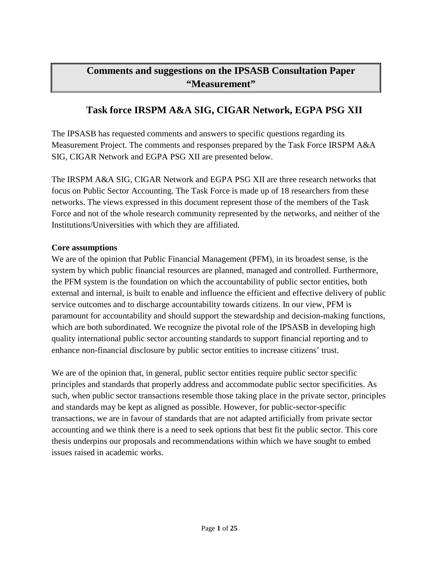# **Comments and suggestions on the IPSASB Consultation Paper "Measurement"**

# **Task force IRSPM A&A SIG, CIGAR Network, EGPA PSG XII**

The IPSASB has requested comments and answers to specific questions regarding its Measurement Project. The comments and responses prepared by the Task Force IRSPM A&A SIG, CIGAR Network and EGPA PSG XII are presented below.

The IRSPM A&A SIG, CIGAR Network and EGPA PSG XII are three research networks that focus on Public Sector Accounting. The Task Force is made up of 18 researchers from these networks. The views expressed in this document represent those of the members of the Task Force and not of the whole research community represented by the networks, and neither of the Institutions/Universities with which they are affiliated.

#### **Core assumptions**

We are of the opinion that Public Financial Management (PFM), in its broadest sense, is the system by which public financial resources are planned, managed and controlled. Furthermore, the PFM system is the foundation on which the accountability of public sector entities, both external and internal, is built to enable and influence the efficient and effective delivery of public service outcomes and to discharge accountability towards citizens. In our view, PFM is paramount for accountability and should support the stewardship and decision-making functions, which are both subordinated. We recognize the pivotal role of the IPSASB in developing high quality international public sector accounting standards to support financial reporting and to enhance non-financial disclosure by public sector entities to increase citizens' trust.

We are of the opinion that, in general, public sector entities require public sector specific principles and standards that properly address and accommodate public sector specificities. As such, when public sector transactions resemble those taking place in the private sector, principles and standards may be kept as aligned as possible. However, for public-sector-specific transactions, we are in favour of standards that are not adapted artificially from private sector accounting and we think there is a need to seek options that best fit the public sector. This core thesis underpins our proposals and recommendations within which we have sought to embed issues raised in academic works.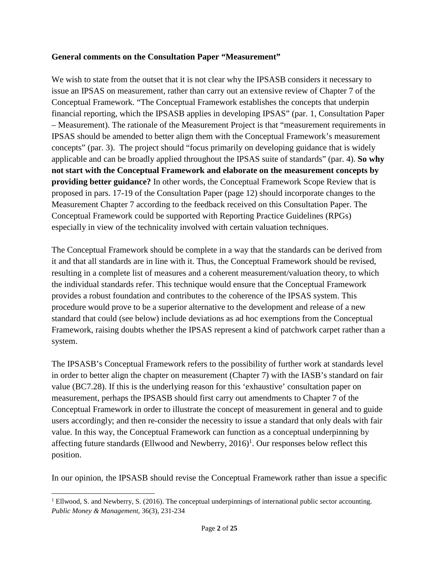### **General comments on the Consultation Paper "Measurement"**

We wish to state from the outset that it is not clear why the IPSASB considers it necessary to issue an IPSAS on measurement, rather than carry out an extensive review of Chapter 7 of the Conceptual Framework. "The Conceptual Framework establishes the concepts that underpin financial reporting, which the IPSASB applies in developing IPSAS" (par. 1, Consultation Paper – Measurement). The rationale of the Measurement Project is that "measurement requirements in IPSAS should be amended to better align them with the Conceptual Framework's measurement concepts" (par. 3). The project should "focus primarily on developing guidance that is widely applicable and can be broadly applied throughout the IPSAS suite of standards" (par. 4). **So why not start with the Conceptual Framework and elaborate on the measurement concepts by providing better guidance?** In other words, the Conceptual Framework Scope Review that is proposed in pars. 17-19 of the Consultation Paper (page 12) should incorporate changes to the Measurement Chapter 7 according to the feedback received on this Consultation Paper. The Conceptual Framework could be supported with Reporting Practice Guidelines (RPGs) especially in view of the technicality involved with certain valuation techniques.

The Conceptual Framework should be complete in a way that the standards can be derived from it and that all standards are in line with it. Thus, the Conceptual Framework should be revised, resulting in a complete list of measures and a coherent measurement/valuation theory, to which the individual standards refer. This technique would ensure that the Conceptual Framework provides a robust foundation and contributes to the coherence of the IPSAS system. This procedure would prove to be a superior alternative to the development and release of a new standard that could (see below) include deviations as ad hoc exemptions from the Conceptual Framework, raising doubts whether the IPSAS represent a kind of patchwork carpet rather than a system.

The IPSASB's Conceptual Framework refers to the possibility of further work at standards level in order to better align the chapter on measurement (Chapter 7) with the IASB's standard on fair value (BC7.28). If this is the underlying reason for this 'exhaustive' consultation paper on measurement, perhaps the IPSASB should first carry out amendments to Chapter 7 of the Conceptual Framework in order to illustrate the concept of measurement in general and to guide users accordingly; and then re-consider the necessity to issue a standard that only deals with fair value. In this way, the Conceptual Framework can function as a conceptual underpinning by affecting future standards (Ellwood and Newberry,  $2016$ )<sup>1</sup>. Our responses below reflect this position.

In our opinion, the IPSASB should revise the Conceptual Framework rather than issue a specific

 $\overline{a}$ 

<sup>&</sup>lt;sup>1</sup> Ellwood, S. and Newberry, S. (2016). The conceptual underpinnings of international public sector accounting. *Public Money & Management*, 36(3), 231-234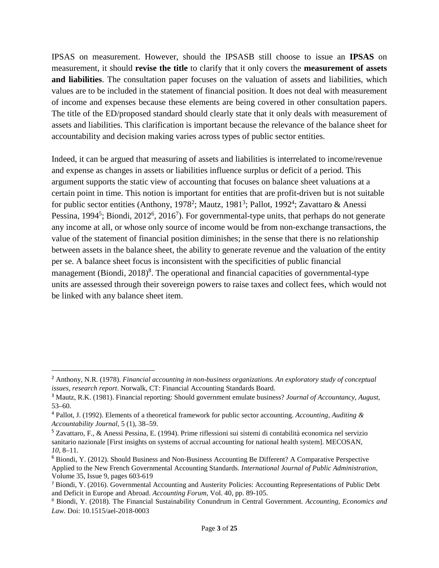IPSAS on measurement. However, should the IPSASB still choose to issue an **IPSAS** on measurement, it should **revise the title** to clarify that it only covers the **measurement of assets and liabilities**. The consultation paper focuses on the valuation of assets and liabilities, which values are to be included in the statement of financial position. It does not deal with measurement of income and expenses because these elements are being covered in other consultation papers. The title of the ED/proposed standard should clearly state that it only deals with measurement of assets and liabilities. This clarification is important because the relevance of the balance sheet for accountability and decision making varies across types of public sector entities.

Indeed, it can be argued that measuring of assets and liabilities is interrelated to income/revenue and expense as changes in assets or liabilities influence surplus or deficit of a period. This argument supports the static view of accounting that focuses on balance sheet valuations at a certain point in time. This notion is important for entities that are profit-driven but is not suitable for public sector entities (Anthony, 1978<sup>2</sup>; Mautz, 1981<sup>3</sup>; Pallot, 1992<sup>4</sup>; Zavattaro & Anessi Pessina, 1994<sup>5</sup>; Biondi, 2012<sup>6</sup>, 2016<sup>7</sup>). For governmental-type units, that perhaps do not generate any income at all, or whose only source of income would be from non-exchange transactions, the value of the statement of financial position diminishes; in the sense that there is no relationship between assets in the balance sheet, the ability to generate revenue and the valuation of the entity per se. A balance sheet focus is inconsistent with the specificities of public financial management (Biondi, 2018)<sup>8</sup>. The operational and financial capacities of governmental-type units are assessed through their sovereign powers to raise taxes and collect fees, which would not be linked with any balance sheet item.

 $\overline{a}$ 

<sup>2</sup> Anthony, N.R. (1978). *Financial accounting in non-business organizations. An exploratory study of conceptual issues, research report*. Norwalk, CT: Financial Accounting Standards Board.

<sup>3</sup> Mautz, R.K. (1981). Financial reporting: Should government emulate business? *Journal of Accountancy*, *August*, 53–60.

<sup>4</sup> Pallot, J. (1992). Elements of a theoretical framework for public sector accounting. *Accounting, Auditing & Accountability Journal*, 5 (1), 38–59.

<sup>5</sup> Zavattaro, F., & Anessi Pessina, E. (1994). Prime riflessioni sui sistemi di contabilità economica nel servizio sanitario nazionale [First insights on systems of accrual accounting for national health system]. MECOSAN, *10*, 8–11.

 $6$  Biondi, Y. (2012). Should Business and Non-Business Accounting Be Different? A Comparative Perspective Applied to the New French Governmental Accounting Standards. *International Journal of Public Administration,*  Volume 35, Issue 9, pages 603-619

<sup>7</sup> Biondi, Y. (2016). Governmental Accounting and Austerity Policies: Accounting Representations of Public Debt and Deficit in Europe and Abroad. *Accounting Forum,* Vol. 40, pp. 89-105.

<sup>8</sup> Biondi, Y. (2018). The Financial Sustainability Conundrum in Central Government. *Accounting, Economics and Law.* Doi: 10.1515/ael-2018-0003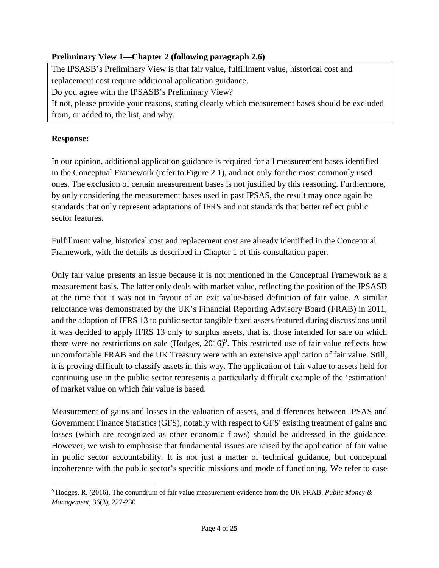# **Preliminary View 1—Chapter 2 (following paragraph 2.6)**

The IPSASB's Preliminary View is that fair value, fulfillment value, historical cost and replacement cost require additional application guidance. Do you agree with the IPSASB's Preliminary View? If not, please provide your reasons, stating clearly which measurement bases should be excluded from, or added to, the list, and why.

# **Response:**

 $\overline{a}$ 

In our opinion, additional application guidance is required for all measurement bases identified in the Conceptual Framework (refer to Figure 2.1), and not only for the most commonly used ones. The exclusion of certain measurement bases is not justified by this reasoning. Furthermore, by only considering the measurement bases used in past IPSAS, the result may once again be standards that only represent adaptations of IFRS and not standards that better reflect public sector features.

Fulfillment value, historical cost and replacement cost are already identified in the Conceptual Framework, with the details as described in Chapter 1 of this consultation paper.

Only fair value presents an issue because it is not mentioned in the Conceptual Framework as a measurement basis. The latter only deals with market value, reflecting the position of the IPSASB at the time that it was not in favour of an exit value-based definition of fair value. A similar reluctance was demonstrated by the UK's Financial Reporting Advisory Board (FRAB) in 2011, and the adoption of IFRS 13 to public sector tangible fixed assets featured during discussions until it was decided to apply IFRS 13 only to surplus assets, that is, those intended for sale on which there were no restrictions on sale  $(Hodges, 2016)^9$ . This restricted use of fair value reflects how uncomfortable FRAB and the UK Treasury were with an extensive application of fair value. Still, it is proving difficult to classify assets in this way. The application of fair value to assets held for continuing use in the public sector represents a particularly difficult example of the 'estimation' of market value on which fair value is based.

Measurement of gains and losses in the valuation of assets, and differences between IPSAS and Government Finance Statistics (GFS), notably with respect to GFS' existing treatment of gains and losses (which are recognized as other economic flows) should be addressed in the guidance. However, we wish to emphasise that fundamental issues are raised by the application of fair value in public sector accountability. It is not just a matter of technical guidance, but conceptual incoherence with the public sector's specific missions and mode of functioning. We refer to case

<sup>9</sup> Hodges, R. (2016). The conundrum of fair value measurement-evidence from the UK FRAB. *Public Money & Management*, 36(3), 227-230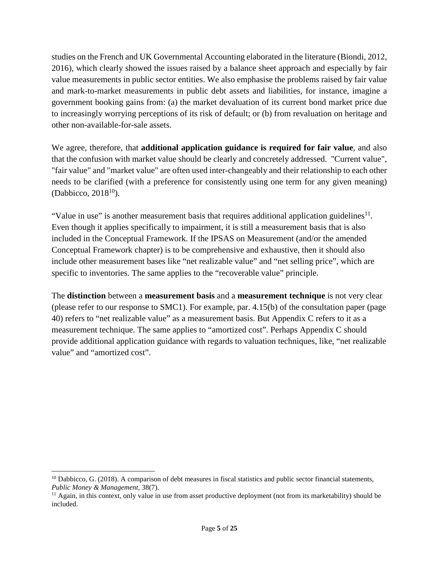studies on the French and UK Governmental Accounting elaborated in the literature (Biondi, 2012, 2016), which clearly showed the issues raised by a balance sheet approach and especially by fair value measurements in public sector entities. We also emphasise the problems raised by fair value and mark-to-market measurements in public debt assets and liabilities, for instance, imagine a government booking gains from: (a) the market devaluation of its current bond market price due to increasingly worrying perceptions of its risk of default; or (b) from revaluation on heritage and other non-available-for-sale assets.

We agree, therefore, that **additional application guidance is required for fair value**, and also that the confusion with market value should be clearly and concretely addressed. "Current value", "fair value" and "market value" are often used inter-changeably and their relationship to each other needs to be clarified (with a preference for consistently using one term for any given meaning) (Dabbicco,  $2018^{10}$ ).

"Value in use" is another measurement basis that requires additional application guidelines $^{11}$ . Even though it applies specifically to impairment, it is still a measurement basis that is also included in the Conceptual Framework. If the IPSAS on Measurement (and/or the amended Conceptual Framework chapter) is to be comprehensive and exhaustive, then it should also include other measurement bases like "net realizable value" and "net selling price", which are specific to inventories. The same applies to the "recoverable value" principle.

The **distinction** between a **measurement basis** and a **measurement technique** is not very clear (please refer to our response to SMC1). For example, par. 4.15(b) of the consultation paper (page 40) refers to "net realizable value" as a measurement basis. But Appendix C refers to it as a measurement technique. The same applies to "amortized cost". Perhaps Appendix C should provide additional application guidance with regards to valuation techniques, like, "net realizable value" and "amortized cost".

 $\overline{a}$ 

 $10$  Dabbicco, G. (2018). A comparison of debt measures in fiscal statistics and public sector financial statements, *Public Money & Management*, 38(7).

<sup>&</sup>lt;sup>11</sup> Again, in this context, only value in use from asset productive deployment (not from its marketability) should be included.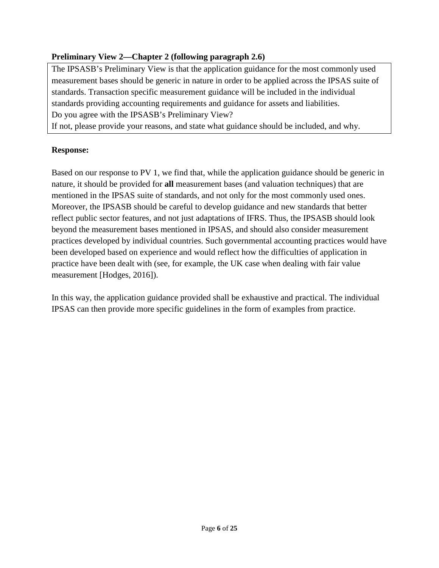# **Preliminary View 2—Chapter 2 (following paragraph 2.6)**

The IPSASB's Preliminary View is that the application guidance for the most commonly used measurement bases should be generic in nature in order to be applied across the IPSAS suite of standards. Transaction specific measurement guidance will be included in the individual standards providing accounting requirements and guidance for assets and liabilities. Do you agree with the IPSASB's Preliminary View?

If not, please provide your reasons, and state what guidance should be included, and why.

# **Response:**

Based on our response to PV 1, we find that, while the application guidance should be generic in nature, it should be provided for **all** measurement bases (and valuation techniques) that are mentioned in the IPSAS suite of standards, and not only for the most commonly used ones. Moreover, the IPSASB should be careful to develop guidance and new standards that better reflect public sector features, and not just adaptations of IFRS. Thus, the IPSASB should look beyond the measurement bases mentioned in IPSAS, and should also consider measurement practices developed by individual countries. Such governmental accounting practices would have been developed based on experience and would reflect how the difficulties of application in practice have been dealt with (see, for example, the UK case when dealing with fair value measurement [Hodges, 2016]).

In this way, the application guidance provided shall be exhaustive and practical. The individual IPSAS can then provide more specific guidelines in the form of examples from practice.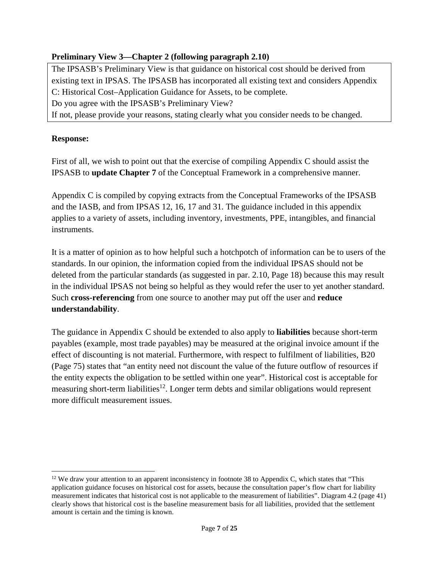# **Preliminary View 3—Chapter 2 (following paragraph 2.10)**

The IPSASB's Preliminary View is that guidance on historical cost should be derived from existing text in IPSAS. The IPSASB has incorporated all existing text and considers Appendix C: Historical Cost–Application Guidance for Assets, to be complete. Do you agree with the IPSASB's Preliminary View?

If not, please provide your reasons, stating clearly what you consider needs to be changed.

# **Response:**

 $\overline{a}$ 

First of all, we wish to point out that the exercise of compiling Appendix C should assist the IPSASB to **update Chapter 7** of the Conceptual Framework in a comprehensive manner.

Appendix C is compiled by copying extracts from the Conceptual Frameworks of the IPSASB and the IASB, and from IPSAS 12, 16, 17 and 31. The guidance included in this appendix applies to a variety of assets, including inventory, investments, PPE, intangibles, and financial instruments.

It is a matter of opinion as to how helpful such a hotchpotch of information can be to users of the standards. In our opinion, the information copied from the individual IPSAS should not be deleted from the particular standards (as suggested in par. 2.10, Page 18) because this may result in the individual IPSAS not being so helpful as they would refer the user to yet another standard. Such **cross-referencing** from one source to another may put off the user and **reduce understandability**.

The guidance in Appendix C should be extended to also apply to **liabilities** because short-term payables (example, most trade payables) may be measured at the original invoice amount if the effect of discounting is not material. Furthermore, with respect to fulfilment of liabilities, B20 (Page 75) states that "an entity need not discount the value of the future outflow of resources if the entity expects the obligation to be settled within one year". Historical cost is acceptable for measuring short-term liabilities<sup>12</sup>. Longer term debts and similar obligations would represent more difficult measurement issues.

 $12$  We draw your attention to an apparent inconsistency in footnote 38 to Appendix C, which states that "This application guidance focuses on historical cost for assets, because the consultation paper's flow chart for liability measurement indicates that historical cost is not applicable to the measurement of liabilities". Diagram 4.2 (page 41) clearly shows that historical cost is the baseline measurement basis for all liabilities, provided that the settlement amount is certain and the timing is known.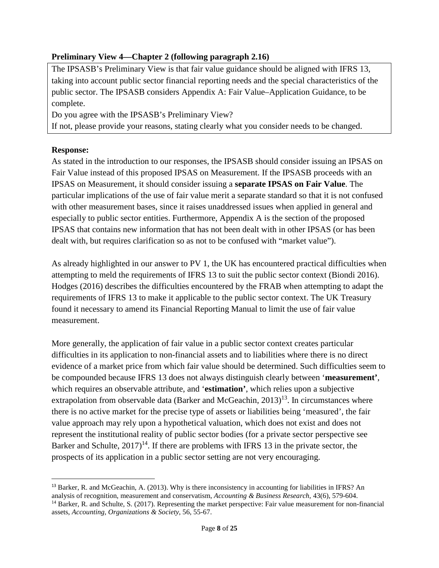# **Preliminary View 4—Chapter 2 (following paragraph 2.16)**

The IPSASB's Preliminary View is that fair value guidance should be aligned with IFRS 13, taking into account public sector financial reporting needs and the special characteristics of the public sector. The IPSASB considers Appendix A: Fair Value–Application Guidance, to be complete.

Do you agree with the IPSASB's Preliminary View?

If not, please provide your reasons, stating clearly what you consider needs to be changed.

# **Response:**

 $\overline{a}$ 

As stated in the introduction to our responses, the IPSASB should consider issuing an IPSAS on Fair Value instead of this proposed IPSAS on Measurement. If the IPSASB proceeds with an IPSAS on Measurement, it should consider issuing a **separate IPSAS on Fair Value**. The particular implications of the use of fair value merit a separate standard so that it is not confused with other measurement bases, since it raises unaddressed issues when applied in general and especially to public sector entities. Furthermore, Appendix A is the section of the proposed IPSAS that contains new information that has not been dealt with in other IPSAS (or has been dealt with, but requires clarification so as not to be confused with "market value").

As already highlighted in our answer to PV 1, the UK has encountered practical difficulties when attempting to meld the requirements of IFRS 13 to suit the public sector context (Biondi 2016). Hodges (2016) describes the difficulties encountered by the FRAB when attempting to adapt the requirements of IFRS 13 to make it applicable to the public sector context. The UK Treasury found it necessary to amend its Financial Reporting Manual to limit the use of fair value measurement.

More generally, the application of fair value in a public sector context creates particular difficulties in its application to non-financial assets and to liabilities where there is no direct evidence of a market price from which fair value should be determined. Such difficulties seem to be compounded because IFRS 13 does not always distinguish clearly between '**measurement'**, which requires an observable attribute, and '**estimation'**, which relies upon a subjective extrapolation from observable data (Barker and McGeachin,  $2013$ )<sup>13</sup>. In circumstances where there is no active market for the precise type of assets or liabilities being 'measured', the fair value approach may rely upon a hypothetical valuation, which does not exist and does not represent the institutional reality of public sector bodies (for a private sector perspective see Barker and Schulte,  $2017$ <sup>14</sup>. If there are problems with IFRS 13 in the private sector, the prospects of its application in a public sector setting are not very encouraging.

<sup>&</sup>lt;sup>13</sup> Barker, R. and McGeachin, A. (2013). Why is there inconsistency in accounting for liabilities in IFRS? An analysis of recognition, measurement and conservatism, *Accounting & Business Research*, 43(6), 579-604. <sup>14</sup> Barker, R. and Schulte, S. (2017). Representing the market perspective: Fair value measurement for non-financial assets, *Accounting, Organizations & Society*, 56, 55-67.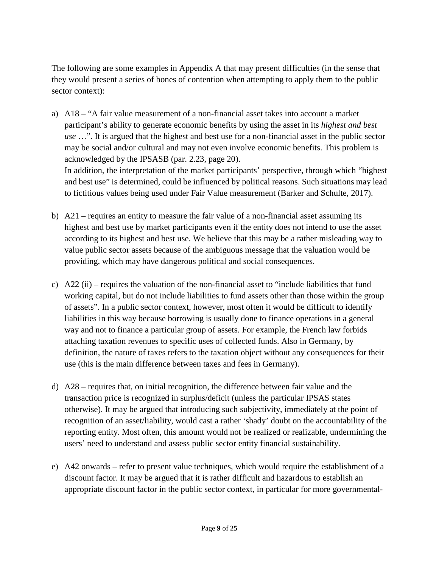The following are some examples in Appendix A that may present difficulties (in the sense that they would present a series of bones of contention when attempting to apply them to the public sector context):

- a) A18 "A fair value measurement of a non-financial asset takes into account a market participant's ability to generate economic benefits by using the asset in its *highest and best use* …". It is argued that the highest and best use for a non-financial asset in the public sector may be social and/or cultural and may not even involve economic benefits. This problem is acknowledged by the IPSASB (par. 2.23, page 20). In addition, the interpretation of the market participants' perspective, through which "highest and best use" is determined, could be influenced by political reasons. Such situations may lead to fictitious values being used under Fair Value measurement (Barker and Schulte, 2017).
- b) A21 requires an entity to measure the fair value of a non-financial asset assuming its highest and best use by market participants even if the entity does not intend to use the asset according to its highest and best use. We believe that this may be a rather misleading way to value public sector assets because of the ambiguous message that the valuation would be providing, which may have dangerous political and social consequences.
- c)  $A22$  (ii) requires the valuation of the non-financial asset to "include liabilities that fund working capital, but do not include liabilities to fund assets other than those within the group of assets". In a public sector context, however, most often it would be difficult to identify liabilities in this way because borrowing is usually done to finance operations in a general way and not to finance a particular group of assets. For example, the French law forbids attaching taxation revenues to specific uses of collected funds. Also in Germany, by definition, the nature of taxes refers to the taxation object without any consequences for their use (this is the main difference between taxes and fees in Germany).
- d) A28 requires that, on initial recognition, the difference between fair value and the transaction price is recognized in surplus/deficit (unless the particular IPSAS states otherwise). It may be argued that introducing such subjectivity, immediately at the point of recognition of an asset/liability, would cast a rather 'shady' doubt on the accountability of the reporting entity. Most often, this amount would not be realized or realizable, undermining the users' need to understand and assess public sector entity financial sustainability.
- e) A42 onwards refer to present value techniques, which would require the establishment of a discount factor. It may be argued that it is rather difficult and hazardous to establish an appropriate discount factor in the public sector context, in particular for more governmental-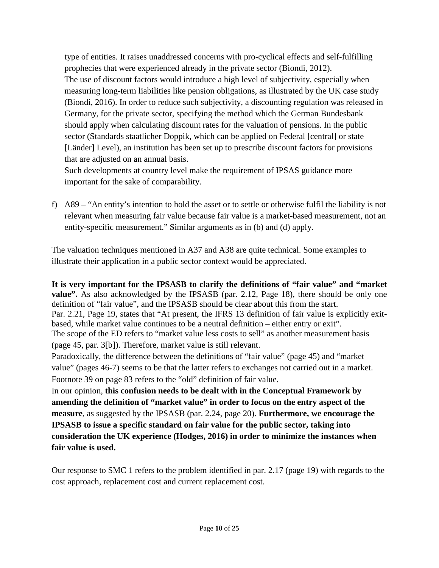type of entities. It raises unaddressed concerns with pro-cyclical effects and self-fulfilling prophecies that were experienced already in the private sector (Biondi, 2012). The use of discount factors would introduce a high level of subjectivity, especially when measuring long-term liabilities like pension obligations, as illustrated by the UK case study (Biondi, 2016). In order to reduce such subjectivity, a discounting regulation was released in Germany, for the private sector, specifying the method which the German Bundesbank should apply when calculating discount rates for the valuation of pensions. In the public sector (Standards staatlicher Doppik, which can be applied on Federal [central] or state [Länder] Level), an institution has been set up to prescribe discount factors for provisions that are adjusted on an annual basis.

Such developments at country level make the requirement of IPSAS guidance more important for the sake of comparability.

f) A89 – "An entity's intention to hold the asset or to settle or otherwise fulfil the liability is not relevant when measuring fair value because fair value is a market-based measurement, not an entity-specific measurement." Similar arguments as in (b) and (d) apply.

The valuation techniques mentioned in A37 and A38 are quite technical. Some examples to illustrate their application in a public sector context would be appreciated.

**It is very important for the IPSASB to clarify the definitions of "fair value" and "market value".** As also acknowledged by the IPSASB (par. 2.12, Page 18), there should be only one definition of "fair value", and the IPSASB should be clear about this from the start. Par. 2.21, Page 19, states that "At present, the IFRS 13 definition of fair value is explicitly exitbased, while market value continues to be a neutral definition – either entry or exit". The scope of the ED refers to "market value less costs to sell" as another measurement basis (page 45, par. 3[b]). Therefore, market value is still relevant. Paradoxically, the difference between the definitions of "fair value" (page 45) and "market

value" (pages 46-7) seems to be that the latter refers to exchanges not carried out in a market. Footnote 39 on page 83 refers to the "old" definition of fair value.

In our opinion, **this confusion needs to be dealt with in the Conceptual Framework by amending the definition of "market value" in order to focus on the entry aspect of the measure**, as suggested by the IPSASB (par. 2.24, page 20). **Furthermore, we encourage the IPSASB to issue a specific standard on fair value for the public sector, taking into consideration the UK experience (Hodges, 2016) in order to minimize the instances when fair value is used.** 

Our response to SMC 1 refers to the problem identified in par. 2.17 (page 19) with regards to the cost approach, replacement cost and current replacement cost.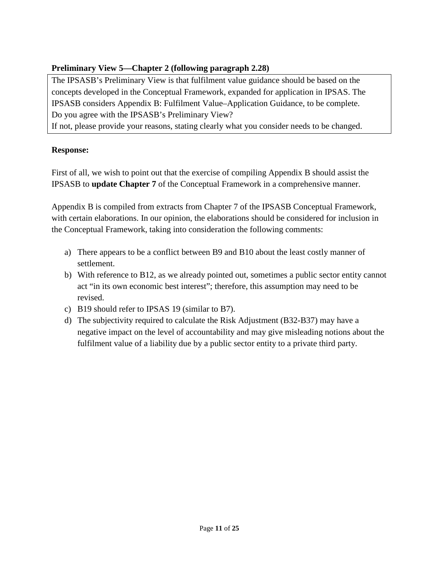# **Preliminary View 5—Chapter 2 (following paragraph 2.28)**

The IPSASB's Preliminary View is that fulfilment value guidance should be based on the concepts developed in the Conceptual Framework, expanded for application in IPSAS. The IPSASB considers Appendix B: Fulfilment Value–Application Guidance, to be complete. Do you agree with the IPSASB's Preliminary View?

If not, please provide your reasons, stating clearly what you consider needs to be changed.

# **Response:**

First of all, we wish to point out that the exercise of compiling Appendix B should assist the IPSASB to **update Chapter 7** of the Conceptual Framework in a comprehensive manner.

Appendix B is compiled from extracts from Chapter 7 of the IPSASB Conceptual Framework, with certain elaborations. In our opinion, the elaborations should be considered for inclusion in the Conceptual Framework, taking into consideration the following comments:

- a) There appears to be a conflict between B9 and B10 about the least costly manner of settlement.
- b) With reference to B12, as we already pointed out, sometimes a public sector entity cannot act "in its own economic best interest"; therefore, this assumption may need to be revised.
- c) B19 should refer to IPSAS 19 (similar to B7).
- d) The subjectivity required to calculate the Risk Adjustment (B32-B37) may have a negative impact on the level of accountability and may give misleading notions about the fulfilment value of a liability due by a public sector entity to a private third party.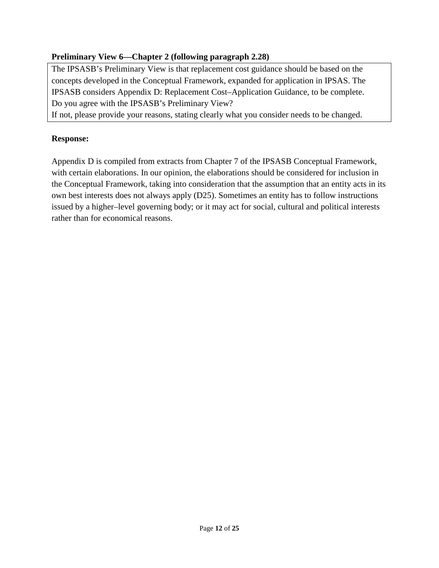# **Preliminary View 6—Chapter 2 (following paragraph 2.28)**

The IPSASB's Preliminary View is that replacement cost guidance should be based on the concepts developed in the Conceptual Framework, expanded for application in IPSAS. The IPSASB considers Appendix D: Replacement Cost–Application Guidance, to be complete. Do you agree with the IPSASB's Preliminary View?

If not, please provide your reasons, stating clearly what you consider needs to be changed.

#### **Response:**

Appendix D is compiled from extracts from Chapter 7 of the IPSASB Conceptual Framework, with certain elaborations. In our opinion, the elaborations should be considered for inclusion in the Conceptual Framework, taking into consideration that the assumption that an entity acts in its own best interests does not always apply (D25). Sometimes an entity has to follow instructions issued by a higher–level governing body; or it may act for social, cultural and political interests rather than for economical reasons.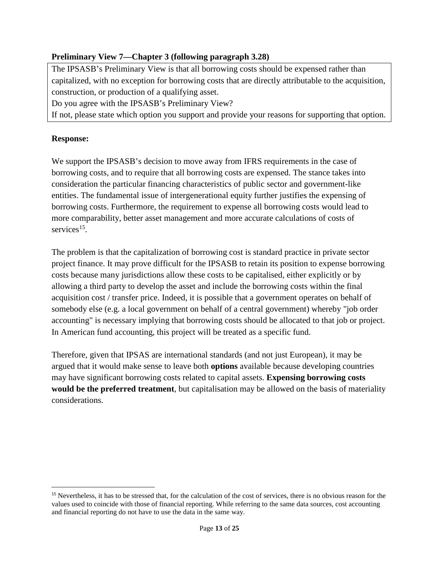# **Preliminary View 7—Chapter 3 (following paragraph 3.28)**

The IPSASB's Preliminary View is that all borrowing costs should be expensed rather than capitalized, with no exception for borrowing costs that are directly attributable to the acquisition, construction, or production of a qualifying asset.

Do you agree with the IPSASB's Preliminary View?

If not, please state which option you support and provide your reasons for supporting that option.

### **Response:**

 $\overline{a}$ 

We support the IPSASB's decision to move away from IFRS requirements in the case of borrowing costs, and to require that all borrowing costs are expensed. The stance takes into consideration the particular financing characteristics of public sector and government-like entities. The fundamental issue of intergenerational equity further justifies the expensing of borrowing costs. Furthermore, the requirement to expense all borrowing costs would lead to more comparability, better asset management and more accurate calculations of costs of services<sup>15</sup>.

The problem is that the capitalization of borrowing cost is standard practice in private sector project finance. It may prove difficult for the IPSASB to retain its position to expense borrowing costs because many jurisdictions allow these costs to be capitalised, either explicitly or by allowing a third party to develop the asset and include the borrowing costs within the final acquisition cost / transfer price. Indeed, it is possible that a government operates on behalf of somebody else (e.g. a local government on behalf of a central government) whereby "job order accounting" is necessary implying that borrowing costs should be allocated to that job or project. In American fund accounting, this project will be treated as a specific fund.

Therefore, given that IPSAS are international standards (and not just European), it may be argued that it would make sense to leave both **options** available because developing countries may have significant borrowing costs related to capital assets. **Expensing borrowing costs would be the preferred treatment**, but capitalisation may be allowed on the basis of materiality considerations.

<sup>&</sup>lt;sup>15</sup> Nevertheless, it has to be stressed that, for the calculation of the cost of services, there is no obvious reason for the values used to coincide with those of financial reporting. While referring to the same data sources, cost accounting and financial reporting do not have to use the data in the same way.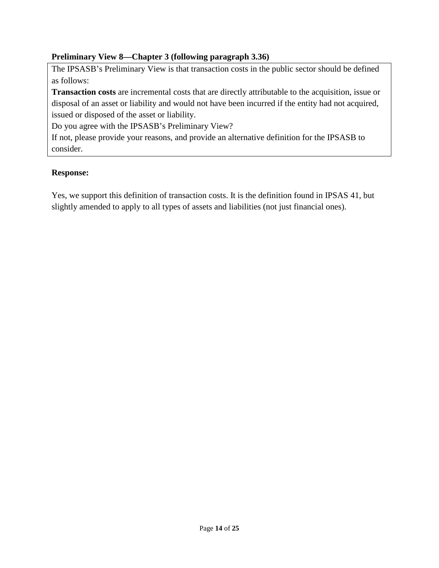# **Preliminary View 8—Chapter 3 (following paragraph 3.36)**

The IPSASB's Preliminary View is that transaction costs in the public sector should be defined as follows:

**Transaction costs** are incremental costs that are directly attributable to the acquisition, issue or disposal of an asset or liability and would not have been incurred if the entity had not acquired, issued or disposed of the asset or liability.

Do you agree with the IPSASB's Preliminary View?

If not, please provide your reasons, and provide an alternative definition for the IPSASB to consider.

#### **Response:**

Yes, we support this definition of transaction costs. It is the definition found in IPSAS 41, but slightly amended to apply to all types of assets and liabilities (not just financial ones).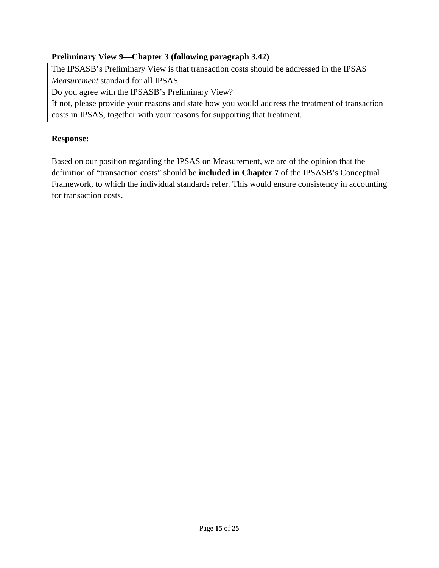# **Preliminary View 9—Chapter 3 (following paragraph 3.42)**

The IPSASB's Preliminary View is that transaction costs should be addressed in the IPSAS *Measurement* standard for all IPSAS.

Do you agree with the IPSASB's Preliminary View?

If not, please provide your reasons and state how you would address the treatment of transaction costs in IPSAS, together with your reasons for supporting that treatment.

#### **Response:**

Based on our position regarding the IPSAS on Measurement, we are of the opinion that the definition of "transaction costs" should be **included in Chapter 7** of the IPSASB's Conceptual Framework, to which the individual standards refer. This would ensure consistency in accounting for transaction costs.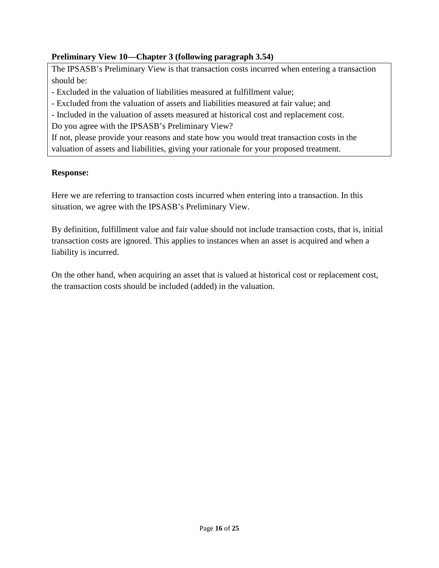# **Preliminary View 10—Chapter 3 (following paragraph 3.54)**

The IPSASB's Preliminary View is that transaction costs incurred when entering a transaction should be:

- Excluded in the valuation of liabilities measured at fulfillment value;

- Excluded from the valuation of assets and liabilities measured at fair value; and

- Included in the valuation of assets measured at historical cost and replacement cost.

Do you agree with the IPSASB's Preliminary View?

If not, please provide your reasons and state how you would treat transaction costs in the valuation of assets and liabilities, giving your rationale for your proposed treatment.

#### **Response:**

Here we are referring to transaction costs incurred when entering into a transaction. In this situation, we agree with the IPSASB's Preliminary View.

By definition, fulfillment value and fair value should not include transaction costs, that is, initial transaction costs are ignored. This applies to instances when an asset is acquired and when a liability is incurred.

On the other hand, when acquiring an asset that is valued at historical cost or replacement cost, the transaction costs should be included (added) in the valuation.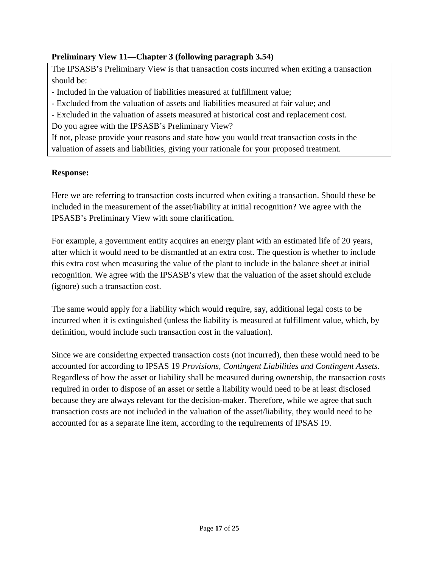# **Preliminary View 11—Chapter 3 (following paragraph 3.54)**

The IPSASB's Preliminary View is that transaction costs incurred when exiting a transaction should be:

- Included in the valuation of liabilities measured at fulfillment value;

- Excluded from the valuation of assets and liabilities measured at fair value; and

- Excluded in the valuation of assets measured at historical cost and replacement cost.

Do you agree with the IPSASB's Preliminary View?

If not, please provide your reasons and state how you would treat transaction costs in the valuation of assets and liabilities, giving your rationale for your proposed treatment.

#### **Response:**

Here we are referring to transaction costs incurred when exiting a transaction. Should these be included in the measurement of the asset/liability at initial recognition? We agree with the IPSASB's Preliminary View with some clarification.

For example, a government entity acquires an energy plant with an estimated life of 20 years, after which it would need to be dismantled at an extra cost. The question is whether to include this extra cost when measuring the value of the plant to include in the balance sheet at initial recognition. We agree with the IPSASB's view that the valuation of the asset should exclude (ignore) such a transaction cost.

The same would apply for a liability which would require, say, additional legal costs to be incurred when it is extinguished (unless the liability is measured at fulfillment value, which, by definition, would include such transaction cost in the valuation).

Since we are considering expected transaction costs (not incurred), then these would need to be accounted for according to IPSAS 19 *Provisions, Contingent Liabilities and Contingent Assets.* Regardless of how the asset or liability shall be measured during ownership, the transaction costs required in order to dispose of an asset or settle a liability would need to be at least disclosed because they are always relevant for the decision-maker. Therefore, while we agree that such transaction costs are not included in the valuation of the asset/liability, they would need to be accounted for as a separate line item, according to the requirements of IPSAS 19.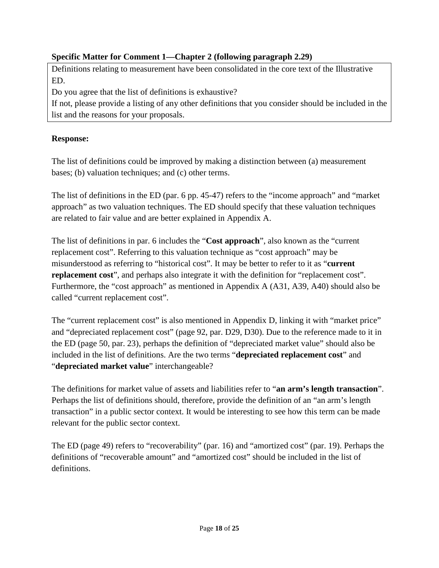# **Specific Matter for Comment 1—Chapter 2 (following paragraph 2.29)**

Definitions relating to measurement have been consolidated in the core text of the Illustrative ED.

Do you agree that the list of definitions is exhaustive?

If not, please provide a listing of any other definitions that you consider should be included in the list and the reasons for your proposals.

# **Response:**

The list of definitions could be improved by making a distinction between (a) measurement bases; (b) valuation techniques; and (c) other terms.

The list of definitions in the ED (par. 6 pp. 45-47) refers to the "income approach" and "market approach" as two valuation techniques. The ED should specify that these valuation techniques are related to fair value and are better explained in Appendix A.

The list of definitions in par. 6 includes the "**Cost approach**", also known as the "current replacement cost". Referring to this valuation technique as "cost approach" may be misunderstood as referring to "historical cost". It may be better to refer to it as "**current replacement cost**", and perhaps also integrate it with the definition for "replacement cost". Furthermore, the "cost approach" as mentioned in Appendix A (A31, A39, A40) should also be called "current replacement cost".

The "current replacement cost" is also mentioned in Appendix D, linking it with "market price" and "depreciated replacement cost" (page 92, par. D29, D30). Due to the reference made to it in the ED (page 50, par. 23), perhaps the definition of "depreciated market value" should also be included in the list of definitions. Are the two terms "**depreciated replacement cost**" and "**depreciated market value**" interchangeable?

The definitions for market value of assets and liabilities refer to "**an arm's length transaction**". Perhaps the list of definitions should, therefore, provide the definition of an "an arm's length transaction" in a public sector context. It would be interesting to see how this term can be made relevant for the public sector context.

The ED (page 49) refers to "recoverability" (par. 16) and "amortized cost" (par. 19). Perhaps the definitions of "recoverable amount" and "amortized cost" should be included in the list of definitions.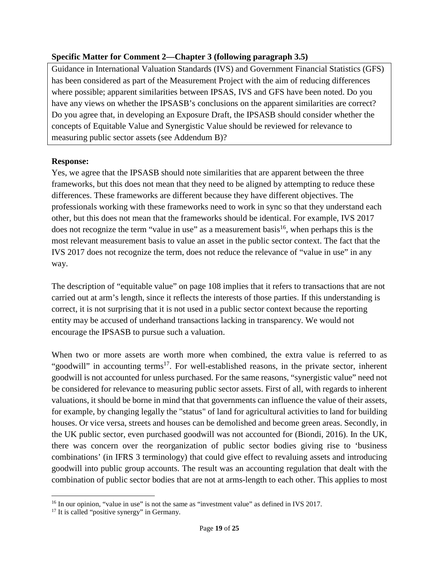# **Specific Matter for Comment 2—Chapter 3 (following paragraph 3.5)**

Guidance in International Valuation Standards (IVS) and Government Financial Statistics (GFS) has been considered as part of the Measurement Project with the aim of reducing differences where possible; apparent similarities between IPSAS, IVS and GFS have been noted. Do you have any views on whether the IPSASB's conclusions on the apparent similarities are correct? Do you agree that, in developing an Exposure Draft, the IPSASB should consider whether the concepts of Equitable Value and Synergistic Value should be reviewed for relevance to measuring public sector assets (see Addendum B)?

# **Response:**

Yes, we agree that the IPSASB should note similarities that are apparent between the three frameworks, but this does not mean that they need to be aligned by attempting to reduce these differences. These frameworks are different because they have different objectives. The professionals working with these frameworks need to work in sync so that they understand each other, but this does not mean that the frameworks should be identical. For example, IVS 2017 does not recognize the term "value in use" as a measurement basis<sup>16</sup>, when perhaps this is the most relevant measurement basis to value an asset in the public sector context. The fact that the IVS 2017 does not recognize the term, does not reduce the relevance of "value in use" in any way.

The description of "equitable value" on page 108 implies that it refers to transactions that are not carried out at arm's length, since it reflects the interests of those parties. If this understanding is correct, it is not surprising that it is not used in a public sector context because the reporting entity may be accused of underhand transactions lacking in transparency. We would not encourage the IPSASB to pursue such a valuation.

When two or more assets are worth more when combined, the extra value is referred to as "goodwill" in accounting terms<sup>17</sup>. For well-established reasons, in the private sector, inherent goodwill is not accounted for unless purchased. For the same reasons, "synergistic value" need not be considered for relevance to measuring public sector assets. First of all, with regards to inherent valuations, it should be borne in mind that that governments can influence the value of their assets, for example, by changing legally the "status" of land for agricultural activities to land for building houses. Or vice versa, streets and houses can be demolished and become green areas. Secondly, in the UK public sector, even purchased goodwill was not accounted for (Biondi, 2016). In the UK, there was concern over the reorganization of public sector bodies giving rise to 'business combinations' (in IFRS 3 terminology) that could give effect to revaluing assets and introducing goodwill into public group accounts. The result was an accounting regulation that dealt with the combination of public sector bodies that are not at arms-length to each other. This applies to most

 $\overline{a}$ 

<sup>&</sup>lt;sup>16</sup> In our opinion, "value in use" is not the same as "investment value" as defined in IVS 2017.

<sup>&</sup>lt;sup>17</sup> It is called "positive synergy" in Germany.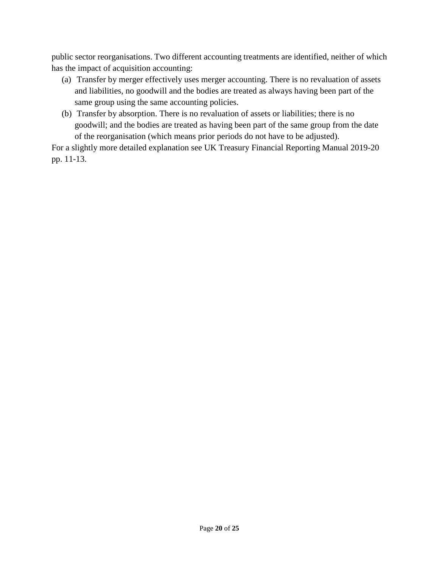public sector reorganisations. Two different accounting treatments are identified, neither of which has the impact of acquisition accounting:

- (a) Transfer by merger effectively uses merger accounting. There is no revaluation of assets and liabilities, no goodwill and the bodies are treated as always having been part of the same group using the same accounting policies.
- (b) Transfer by absorption. There is no revaluation of assets or liabilities; there is no goodwill; and the bodies are treated as having been part of the same group from the date of the reorganisation (which means prior periods do not have to be adjusted).

For a slightly more detailed explanation see UK Treasury Financial Reporting Manual 2019-20 pp. 11-13.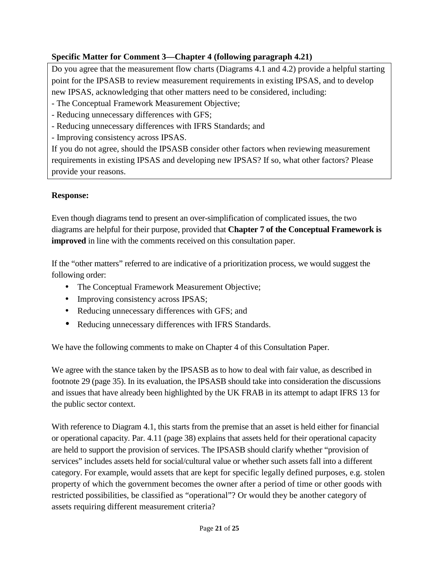# **Specific Matter for Comment 3—Chapter 4 (following paragraph 4.21)**

Do you agree that the measurement flow charts (Diagrams 4.1 and 4.2) provide a helpful starting point for the IPSASB to review measurement requirements in existing IPSAS, and to develop new IPSAS, acknowledging that other matters need to be considered, including:

- The Conceptual Framework Measurement Objective;
- Reducing unnecessary differences with GFS;
- Reducing unnecessary differences with IFRS Standards; and
- Improving consistency across IPSAS.

If you do not agree, should the IPSASB consider other factors when reviewing measurement requirements in existing IPSAS and developing new IPSAS? If so, what other factors? Please provide your reasons.

# **Response:**

Even though diagrams tend to present an over-simplification of complicated issues, the two diagrams are helpful for their purpose, provided that **Chapter 7 of the Conceptual Framework is improved** in line with the comments received on this consultation paper.

If the "other matters" referred to are indicative of a prioritization process, we would suggest the following order:

- The Conceptual Framework Measurement Objective;
- Improving consistency across IPSAS;
- Reducing unnecessary differences with GFS; and
- Reducing unnecessary differences with IFRS Standards.

We have the following comments to make on Chapter 4 of this Consultation Paper.

We agree with the stance taken by the IPSASB as to how to deal with fair value, as described in footnote 29 (page 35). In its evaluation, the IPSASB should take into consideration the discussions and issues that have already been highlighted by the UK FRAB in its attempt to adapt IFRS 13 for the public sector context.

With reference to Diagram 4.1, this starts from the premise that an asset is held either for financial or operational capacity. Par. 4.11 (page 38) explains that assets held for their operational capacity are held to support the provision of services. The IPSASB should clarify whether "provision of services" includes assets held for social/cultural value or whether such assets fall into a different category. For example, would assets that are kept for specific legally defined purposes, e.g. stolen property of which the government becomes the owner after a period of time or other goods with restricted possibilities, be classified as "operational"? Or would they be another category of assets requiring different measurement criteria?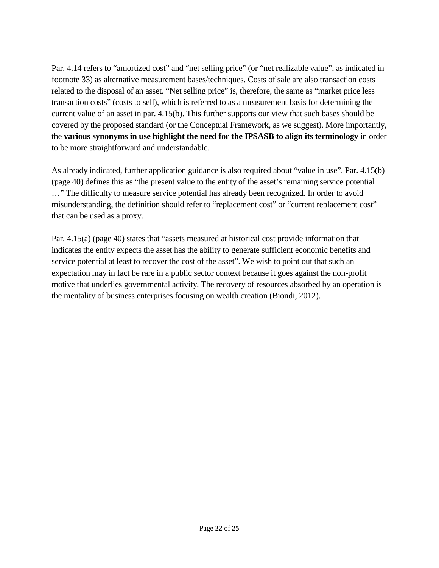Par. 4.14 refers to "amortized cost" and "net selling price" (or "net realizable value", as indicated in footnote 33) as alternative measurement bases/techniques. Costs of sale are also transaction costs related to the disposal of an asset. "Net selling price" is, therefore, the same as "market price less transaction costs" (costs to sell), which is referred to as a measurement basis for determining the current value of an asset in par. 4.15(b). This further supports our view that such bases should be covered by the proposed standard (or the Conceptual Framework, as we suggest). More importantly, the **various synonyms in use highlight the need for the IPSASB to align its terminology** in order to be more straightforward and understandable.

As already indicated, further application guidance is also required about "value in use". Par. 4.15(b) (page 40) defines this as "the present value to the entity of the asset's remaining service potential …" The difficulty to measure service potential has already been recognized. In order to avoid misunderstanding, the definition should refer to "replacement cost" or "current replacement cost" that can be used as a proxy.

Par. 4.15(a) (page 40) states that "assets measured at historical cost provide information that indicates the entity expects the asset has the ability to generate sufficient economic benefits and service potential at least to recover the cost of the asset". We wish to point out that such an expectation may in fact be rare in a public sector context because it goes against the non-profit motive that underlies governmental activity. The recovery of resources absorbed by an operation is the mentality of business enterprises focusing on wealth creation (Biondi, 2012).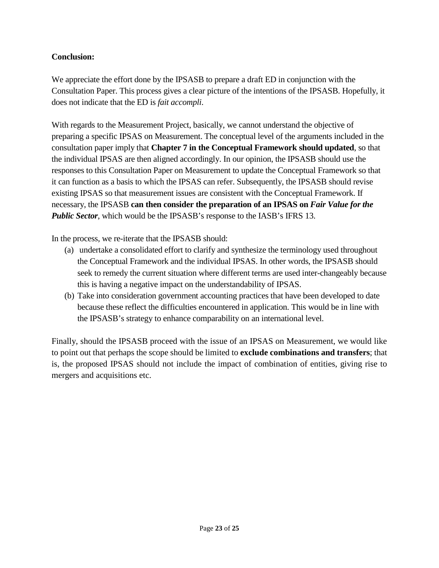# **Conclusion:**

We appreciate the effort done by the IPSASB to prepare a draft ED in conjunction with the Consultation Paper. This process gives a clear picture of the intentions of the IPSASB. Hopefully, it does not indicate that the ED is *fait accompli*.

With regards to the Measurement Project, basically, we cannot understand the objective of preparing a specific IPSAS on Measurement. The conceptual level of the arguments included in the consultation paper imply that **Chapter 7 in the Conceptual Framework should updated**, so that the individual IPSAS are then aligned accordingly. In our opinion, the IPSASB should use the responses to this Consultation Paper on Measurement to update the Conceptual Framework so that it can function as a basis to which the IPSAS can refer. Subsequently, the IPSASB should revise existing IPSAS so that measurement issues are consistent with the Conceptual Framework. If necessary, the IPSASB **can then consider the preparation of an IPSAS on** *Fair Value for the Public Sector*, which would be the IPSASB's response to the IASB's IFRS 13.

In the process, we re-iterate that the IPSASB should:

- (a) undertake a consolidated effort to clarify and synthesize the terminology used throughout the Conceptual Framework and the individual IPSAS. In other words, the IPSASB should seek to remedy the current situation where different terms are used inter-changeably because this is having a negative impact on the understandability of IPSAS.
- (b) Take into consideration government accounting practices that have been developed to date because these reflect the difficulties encountered in application. This would be in line with the IPSASB's strategy to enhance comparability on an international level.

Finally, should the IPSASB proceed with the issue of an IPSAS on Measurement, we would like to point out that perhaps the scope should be limited to **exclude combinations and transfers**; that is, the proposed IPSAS should not include the impact of combination of entities, giving rise to mergers and acquisitions etc.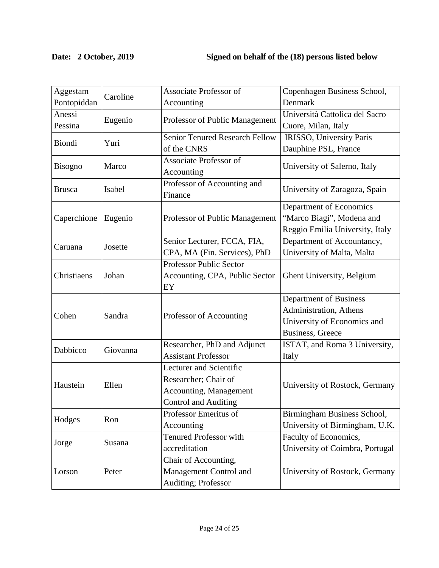# **Date: 2 October, 2019 Signed on behalf of the (18) persons listed below**

| Aggestam       | Caroline | <b>Associate Professor of</b>         | Copenhagen Business School,     |
|----------------|----------|---------------------------------------|---------------------------------|
| Pontopiddan    |          | Accounting                            | Denmark                         |
| Anessi         | Eugenio  | Professor of Public Management        | Università Cattolica del Sacro  |
| Pessina        |          |                                       | Cuore, Milan, Italy             |
| Biondi         | Yuri     | <b>Senior Tenured Research Fellow</b> | IRISSO, University Paris        |
|                |          | of the CNRS                           | Dauphine PSL, France            |
| <b>Bisogno</b> | Marco    | <b>Associate Professor of</b>         | University of Salerno, Italy    |
|                |          | Accounting                            |                                 |
| <b>Brusca</b>  | Isabel   | Professor of Accounting and           | University of Zaragoza, Spain   |
|                |          | Finance                               |                                 |
| Caperchione    | Eugenio  | Professor of Public Management        | Department of Economics         |
|                |          |                                       | "Marco Biagi", Modena and       |
|                |          |                                       | Reggio Emilia University, Italy |
| Caruana        | Josette  | Senior Lecturer, FCCA, FIA,           | Department of Accountancy,      |
|                |          | CPA, MA (Fin. Services), PhD          | University of Malta, Malta      |
|                | Johan    | Professor Public Sector               |                                 |
| Christiaens    |          | Accounting, CPA, Public Sector        | Ghent University, Belgium       |
|                |          | EY                                    |                                 |
| Cohen          | Sandra   | Professor of Accounting               | Department of Business          |
|                |          |                                       | Administration, Athens          |
|                |          |                                       | University of Economics and     |
|                |          |                                       | <b>Business</b> , Greece        |
| Dabbicco       | Giovanna | Researcher, PhD and Adjunct           | ISTAT, and Roma 3 University,   |
|                |          | <b>Assistant Professor</b>            | Italy                           |
| Haustein       | Ellen    | Lecturer and Scientific               | University of Rostock, Germany  |
|                |          | Researcher; Chair of                  |                                 |
|                |          | Accounting, Management                |                                 |
|                |          | Control and Auditing                  |                                 |
| Hodges         | Ron      | Professor Emeritus of                 | Birmingham Business School,     |
|                |          | Accounting                            | University of Birmingham, U.K.  |
| Jorge          | Susana   | <b>Tenured Professor with</b>         | Faculty of Economics,           |
|                |          | accreditation                         | University of Coimbra, Portugal |
| Lorson         | Peter    | Chair of Accounting,                  |                                 |
|                |          | Management Control and                | University of Rostock, Germany  |
|                |          | Auditing; Professor                   |                                 |